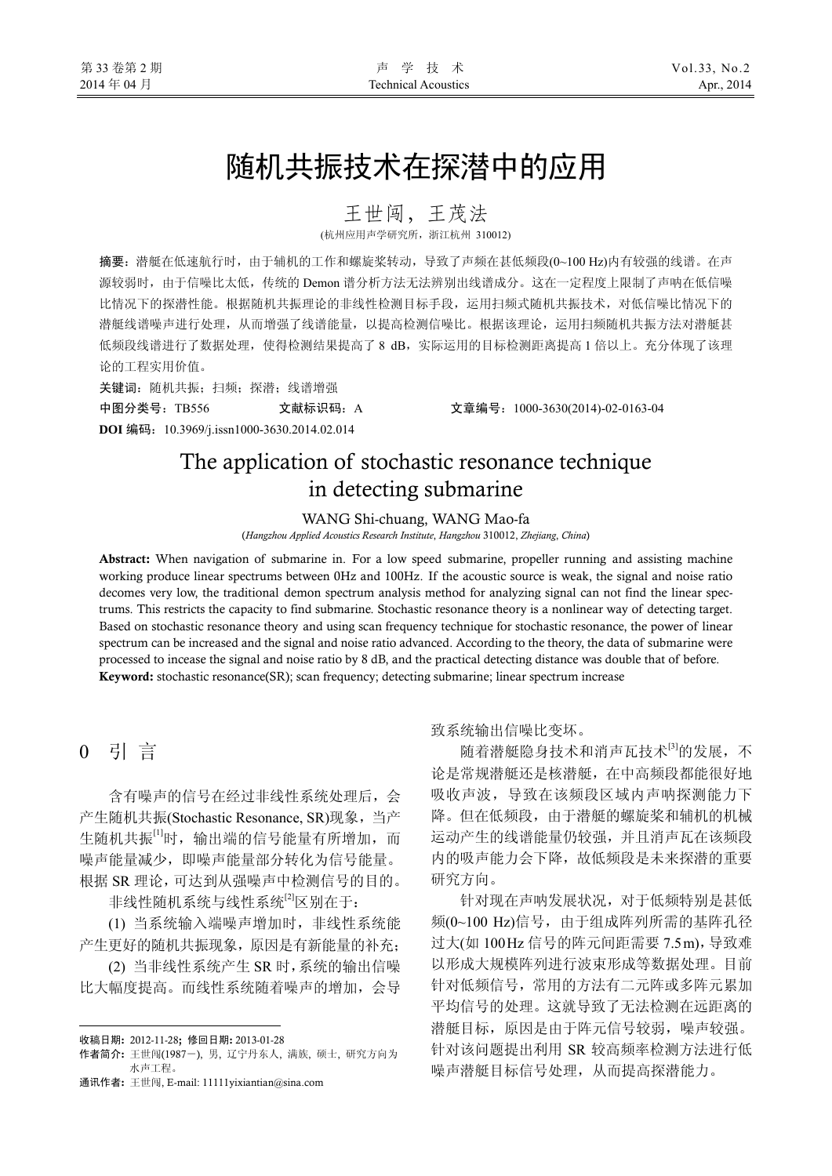# 随机共振技术在探潜中的应用

王世闯,王茂法

(杭州应用声学研究所,浙江杭州 310012)

摘要:潜艇在低速航行时,由于辅机的工作和螺旋桨转动,导致了声频在甚低频段(0~100 Hz)内有较强的线谱。在声 源较弱时,由于信噪比太低,传统的 Demon 谱分析方法无法辨别出线谱成分。这在一定程度上限制了声呐在低信噪 比情况下的探潜性能。根据随机共振理论的非线性检测目标手段,运用扫频式随机共振技术,对低信噪比情况下的 潜艇线谱噪声进行处理,从而增强了线谱能量,以提高检测信噪比。根据该理论,运用扫频随机共振方法对潜艇甚 低频段线谱进行了数据处理,使得检测结果提高了 8 dB,实际运用的目标检测距离提高 1 倍以上。充分体现了该理 论的工程实用价值。

关键词: 随机共振; 扫频; 探潜; 线谱增强 中图分类号:TB556 文献标识码:A 文章编号:1000-3630(2014)-02-0163-04

**DOI** 编码:10.3969/j.issn1000-3630.2014.02.014

## The application of stochastic resonance technique in detecting submarine

WANG Shi-chuang, WANG Mao-fa

(*Hangzhou Applied Acoustics Research Institute*, *Hangzhou* 310012, *Zhejiang*, *China*)

Abstract: When navigation of submarine in. For a low speed submarine, propeller running and assisting machine working produce linear spectrums between 0Hz and 100Hz. If the acoustic source is weak, the signal and noise ratio decomes very low, the traditional demon spectrum analysis method for analyzing signal can not find the linear spectrums. This restricts the capacity to find submarine. Stochastic resonance theory is a nonlinear way of detecting target. Based on stochastic resonance theory and using scan frequency technique for stochastic resonance, the power of linear spectrum can be increased and the signal and noise ratio advanced. According to the theory, the data of submarine were processed to incease the signal and noise ratio by 8 dB, and the practical detecting distance was double that of before. Keyword: stochastic resonance(SR); scan frequency; detecting submarine; linear spectrum increase

## 0 引 言

 $\overline{a}$ 

含有噪声的信号在经过非线性系统处理后,会 产生随机共振(Stochastic Resonance, SR)现象,当产 生随机共振[1]时,输出端的信号能量有所增加,而 噪声能量减少,即噪声能量部分转化为信号能量。 根据 SR 理论,可达到从强噪声中检测信号的目的。

非线性随机系统与线性系统<sup>[2]</sup>区别在于:

(1) 当系统输入端噪声增加时,非线性系统能 产生更好的随机共振现象,原因是有新能量的补充;

(2) 当非线性系统产生 SR 时,系统的输出信噪 比大幅度提高。而线性系统随着噪声的增加,会导

通讯作者: 王世闯, E-mail: 11111yixiantian@sina.com

#### 致系统输出信噪比变坏。

随着潜艇隐身技术和消声瓦技术[3]的发展,不 论是常规潜艇还是核潜艇,在中高频段都能很好地 吸收声波,导致在该频段区域内声呐探测能力下 降。但在低频段,由于潜艇的螺旋桨和辅机的机械 运动产生的线谱能量仍较强,并且消声瓦在该频段 内的吸声能力会下降,故低频段是未来探潜的重要 研究方向。

针对现在声呐发展状况,对于低频特别是甚低 频(0~100 Hz)信号, 由于组成阵列所需的基阵孔径 过大(如 100Hz 信号的阵元间距需要 7.5m), 导致难 以形成大规模阵列进行波束形成等数据处理。目前 针对低频信号,常用的方法有二元阵或多阵元累加 平均信号的处理。这就导致了无法检测在远距离的 潜艇目标,原因是由于阵元信号较弱,噪声较强。 针对该问题提出利用 SR 较高频率检测方法进行低 噪声潜艇目标信号处理,从而提高探潜能力。

收稿日期: 2012-11-28; 修回日期: 2013-01-28

作者简介: 王世闯(1987-), 男, 辽宁丹东人, 满族, 硕士, 研究方向为 水声工程。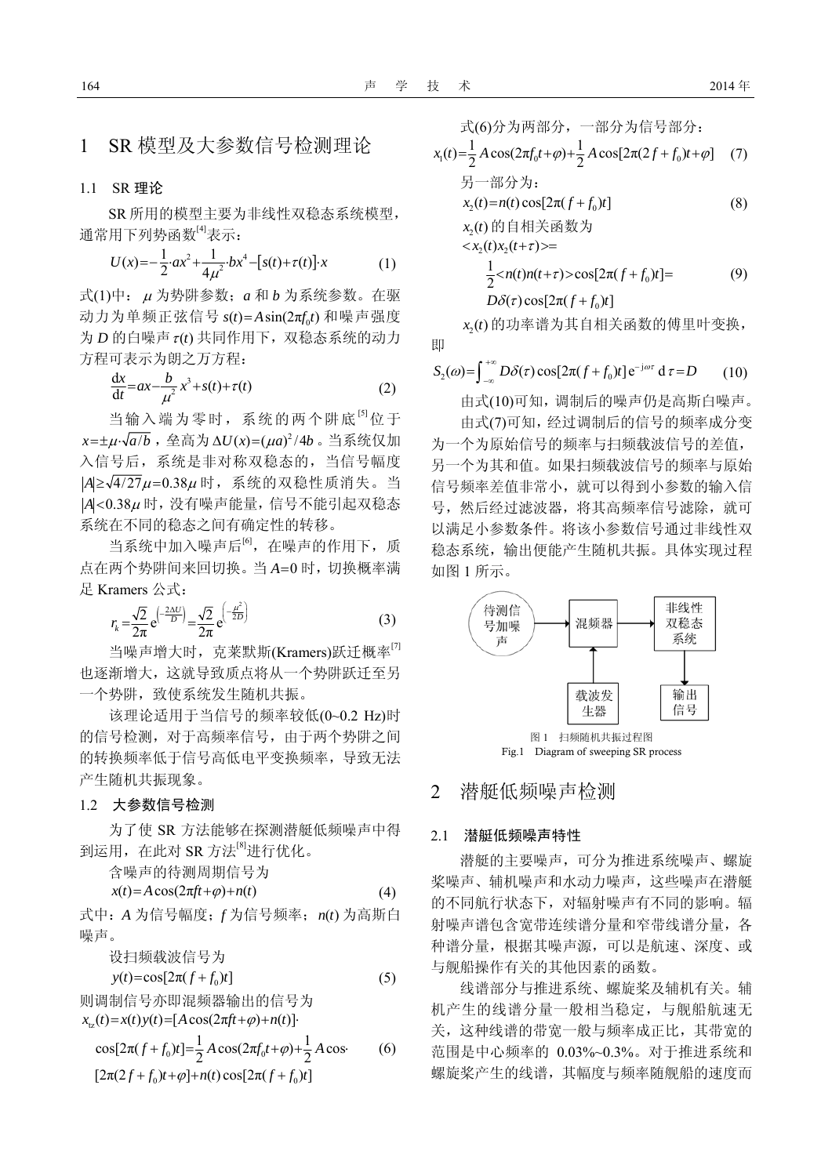## 1 SR 模型及大参数信号检测理论

#### 1.1 SR 理论

SR 所用的模型主要为非线性双稳态系统模型, 通常用下列势函数[4]表示:

$$
U(x) = -\frac{1}{2} \cdot ax^2 + \frac{1}{4\mu^2} \cdot bx^4 - [s(t) + \tau(t)] \cdot x \tag{1}
$$

式(1)中: <sup>μ</sup> 为势阱参数;*a* 和 *b* 为系统参数。在驱 动力为单频正弦信号  $s(t) = A \sin(2\pi f_s t)$  和噪声强度  $\forall$  *D* 的白噪声 $\tau$ (t) 共同作用下, 双稳态系统的动力 方程可表示为朗之万方程:

$$
\frac{\mathrm{d}x}{\mathrm{d}t} = ax - \frac{b}{\mu^2} x^3 + s(t) + \tau(t) \tag{2}
$$

当输入端为零时,系统的两个阱底<sup>[5]</sup>位于  $x=\pm \mu \cdot \sqrt{a/b}$ , 垒高为 Δ $U(x)=(\mu a)^2/4b$ 。当系统仅加 入信号后,系统是非对称双稳态的,当信号幅度  $|A| \geq \sqrt{4/27} \mu = 0.38 \mu$  时, 系统的双稳性质消失。当 *A* <0.38<sup>μ</sup> 时,没有噪声能量,信号不能引起双稳态 系统在不同的稳态之间有确定性的转移。

当系统中加入噪声后<sup>[6]</sup>, 在噪声的作用下, 质 点在两个势阱间来回切换。当 *A*=0 时,切换概率满 足 Kramers 公式:

$$
r_{k} = \frac{\sqrt{2}}{2\pi} e^{\left(-\frac{2\Delta U}{D}\right)} = \frac{\sqrt{2}}{2\pi} e^{\left(-\frac{\mu^{2}}{2D}\right)}
$$
(3)

当噪声增大时,克莱默斯(Kramers)跃迁概率<br />  $^{\text{7}}$ 也逐渐增大,这就导致质点将从一个势阱跃迁至另 一个势阱,致使系统发生随机共振。

该理论适用于当信号的频率较低(0~0.2 Hz)时 的信号检测,对于高频率信号,由于两个势阱之间 的转换频率低于信号高低电平变换频率,导致无法 产生随机共振现象。

### 1.2 大参数信号检测

为了使 SR 方法能够在探测潜艇低频噪声中得 到运用,在此对 SR 方法[8]进行优化。

含噪声的待测周期信号为

$$
x(t) = A\cos(2\pi ft + \varphi) + n(t)
$$
\n(4)

式中:*A* 为信号幅度;*f* 为信号频率;*n t*( ) 为高斯白 噪声。

设扫频载波信号为

 $y(t) = \cos[2\pi (f + f_0)t]$  (5)

则调制信号亦即混频器输出的信号为  $x_{1z}(t) = x(t)y(t) = [A\cos(2\pi ft + \varphi) + n(t)].$ 

$$
\cos[2\pi(f+f_0)t] = \frac{1}{2}A\cos(2\pi f_0 t + \varphi) + \frac{1}{2}A\cos\theta
$$
\n
$$
[2\pi(2f+f_0)t + \varphi] + n(t)\cos[2\pi(f+f_0)t]
$$
\n(6)

$$
\vec{x}(6) \hat{j} \vec{y} \vec{y} \vec{y} \vec{y}, \quad\n -\frac{2\pi}{3} \hat{j} \vec{y} \vec{y} \vec{y} \vec{y}.
$$
\n
$$
x_1(t) = \frac{1}{2} A \cos(2\pi f_0 t + \varphi) + \frac{1}{2} A \cos[2\pi (2f + f_0) t + \varphi] \quad (7)
$$

$$
\mathcal{H} = \mathcal{H} \, \mathcal{H} \, \mathcal{H}.
$$
\n
$$
x_2(t) = n(t) \cos[2\pi(f + f_0)t]
$$
\n(8)

$$
x_2(t) \noplus \noplus \noplus \noplus \noplus \noplus \noplus \noplus \noplus
$$

$$
\langle x_2(t)x_2(t+\tau)\rangle =
$$
  
\n
$$
\frac{1}{2} \langle n(t)n(t+\tau)\rangle \cos[2\pi (f+f_0)t] =
$$
  
\n
$$
D\delta(\tau) \cos[2\pi (f+f_0)t]
$$
 (9)

<sup>2</sup> *x* ( )*t* 的功率谱为其自相关函数的傅里叶变换, 即

$$
S_2(\omega) = \int_{-\infty}^{+\infty} D\delta(\tau) \cos[2\pi (f + f_0)t] e^{-j\omega \tau} d\tau = D \qquad (10)
$$

由式(10)可知,调制后的噪声仍是高斯白噪声。 由式(7)可知,经过调制后的信号的频率成分变 为一个为原始信号的频率与扫频载波信号的差值, 另一个为其和值。如果扫频载波信号的频率与原始 信号频率差值非常小,就可以得到小参数的输入信 号,然后经过滤波器,将其高频率信号滤除,就可 以满足小参数条件。将该小参数信号通过非线性双 稳态系统,输出便能产生随机共振。具体实现过程 如图 1 所示。



Fig.1 Diagram of sweeping SR process

## 2 潜艇低频噪声检测

#### 2.1 潜艇低频噪声特性

潜艇的主要噪声,可分为推进系统噪声、螺旋 桨噪声、辅机噪声和水动力噪声,这些噪声在潜艇 的不同航行状态下,对辐射噪声有不同的影响。辐 射噪声谱包含宽带连续谱分量和窄带线谱分量,各 种谱分量,根据其噪声源,可以是航速、深度、或 与舰船操作有关的其他因素的函数。

线谱部分与推进系统、螺旋桨及辅机有关。辅 机产生的线谱分量一般相当稳定,与舰船航速无 关,这种线谱的带宽一般与频率成正比,其带宽的 范围是中心频率的 0.03%~0.3%。对于推进系统和 螺旋桨产生的线谱,其幅度与频率随舰船的速度而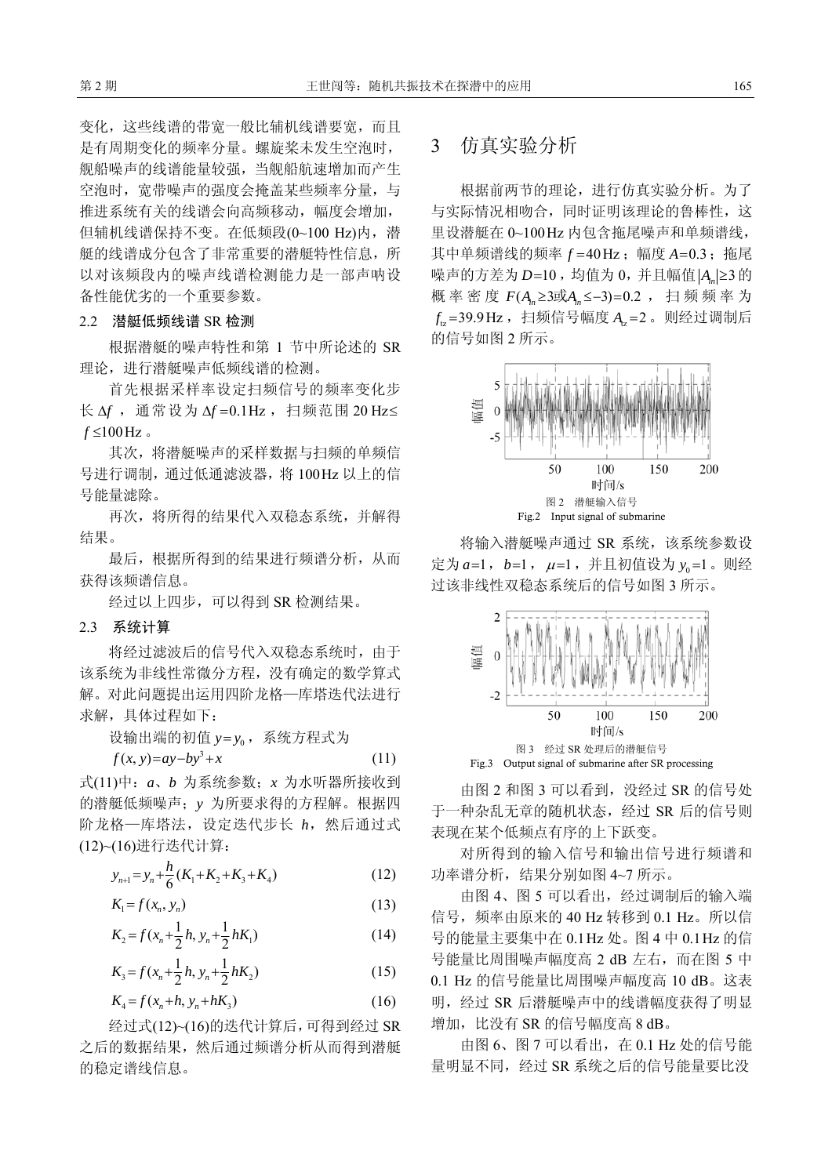变化,这些线谱的带宽一般比辅机线谱要宽,而且 是有周期变化的频率分量。螺旋桨未发生空泡时, 舰船噪声的线谱能量较强,当舰船航速增加而产生 空泡时,宽带噪声的强度会掩盖某些频率分量,与 推进系统有关的线谱会向高频移动,幅度会增加, 但辅机线谱保持不变。在低频段(0~100 Hz)内, 潜 艇的线谱成分包含了非常重要的潜艇特性信息,所 以对该频段内的噪声线谱检测能力是一部声呐设 备性能优劣的一个重要参数。

#### 2.2 潜艇低频线谱 SR 检测

根据潜艇的噪声特性和第 1 节中所论述的 SR 理论,进行潜艇噪声低频线谱的检测。

首先根据采样率设定扫频信号的频率变化步  $K \Delta f$ , 通常设为 Δ*f* = 0.1Hz, 扫频范围 20 Hz≤  $f \leq 100 \text{ Hz}$ .

其次,将潜艇噪声的采样数据与扫频的单频信 号进行调制, 通过低通滤波器, 将 100 Hz 以上的信 号能量滤除。

再次,将所得的结果代入双稳态系统,并解得 结果。

最后,根据所得到的结果进行频谱分析,从而 获得该频谱信息。

经过以上四步,可以得到 SR 检测结果。

#### 2.3 系统计算

将经过滤波后的信号代入双稳态系统时,由于 该系统为非线性常微分方程,没有确定的数学算式 解。对此问题提出运用四阶龙格—库塔迭代法进行 求解,具体过程如下:

设输出端的初值 y = y<sub>0</sub>, 系统方程式为

$$
f(x, y)=ay-by3 + x
$$
 (11)

式(11)中:*a*、*b* 为系统参数;*x* 为水听器所接收到 的潜艇低频噪声;*y* 为所要求得的方程解。根据四 阶龙格—库塔法,设定迭代步长 *h*,然后通过式 (12)~(16)进行迭代计算:

$$
y_{n+1} = y_n + \frac{h}{6}(K_1 + K_2 + K_3 + K_4)
$$
 (12)

$$
K_1 = f(x_n, y_n) \tag{13}
$$

$$
K_2 = f(x_n + \frac{1}{2}h, y_n + \frac{1}{2}hK_1)
$$
 (14)

$$
K_3 = f(x_n + \frac{1}{2}h, y_n + \frac{1}{2}hK_2)
$$
 (15)

$$
K_4 = f(x_n + h, y_n + hK_3) \tag{16}
$$

经过式(12)~(16)的迭代计算后,可得到经过 SR 之后的数据结果,然后通过频谱分析从而得到潜艇 的稳定谱线信息。

## 3 仿真实验分析

根据前两节的理论,进行仿真实验分析。为了 与实际情况相吻合,同时证明该理论的鲁棒性,这 里设潜艇在 0~100 Hz 内包含拖尾噪声和单频谱线, 其中单频谱线的频率  $f = 40$  Hz; 幅度  $A = 0.3$ ; 拖尾 噪声的方差为 *D*=10,均值为 0,并且幅值 | A<sub>n</sub> ≥ 3 的 概率密度 F(A<sub>n</sub> ≥3或A<sub>n</sub> ≤−3)=0.2, 扫频频率为 tz *f* =39.9 Hz ,扫频信号幅度 tz *A* =2 。则经过调制后 的信号如图 2 所示。



将输入潜艇噪声通过 SR 系统,该系统参数设 定为 a=1, b=1, μ=1, 并且初值设为 y<sub>0</sub>=1。则经 过该非线性双稳态系统后的信号如图 3 所示。



由图 2 和图 3 可以看到, 没经过 SR 的信号处 于一种杂乱无章的随机状态,经过 SR 后的信号则 表现在某个低频点有序的上下跃变。

对所得到的输入信号和输出信号进行频谱和 功率谱分析,结果分别如图 4~7 所示。

由图 4、图 5 可以看出,经过调制后的输入端 信号,频率由原来的 40 Hz 转移到 0.1 Hz。所以信 号的能量主要集中在 0.1 Hz 处。图 4 中 0.1 Hz 的信 号能量比周围噪声幅度高 2 dB 左右,而在图 5 中 0.1 Hz 的信号能量比周围噪声幅度高 10 dB。这表 明,经过 SR 后潜艇噪声中的线谱幅度获得了明显 增加,比没有 SR 的信号幅度高 8 dB。

由图 6、图 7 可以看出, 在 0.1 Hz 处的信号能 量明显不同,经过 SR 系统之后的信号能量要比没